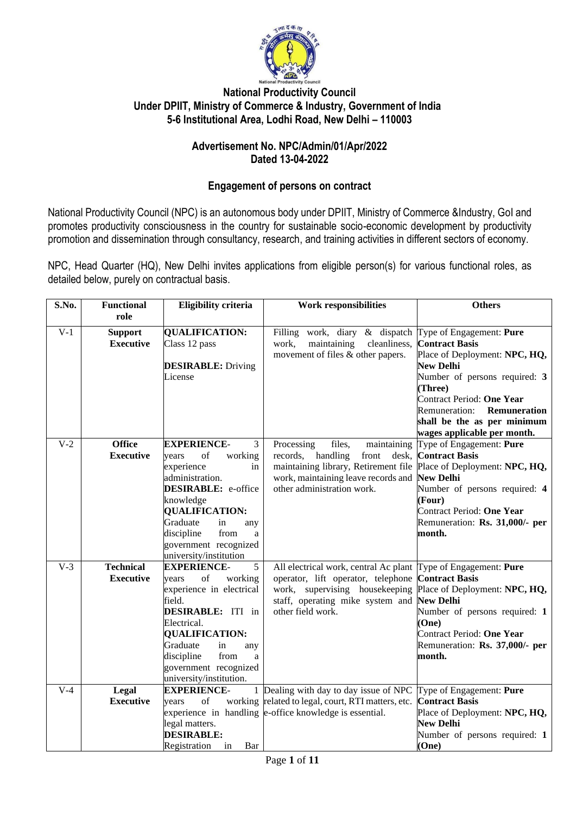

#### **National Productivity Council Under DPIIT, Ministry of Commerce & Industry, Government of India 5-6 Institutional Area, Lodhi Road, New Delhi – 110003**

#### **Advertisement No. NPC/Admin/01/Apr/2022 Dated 13-04-2022**

#### **Engagement of persons on contract**

National Productivity Council (NPC) is an autonomous body under DPIIT, Ministry of Commerce &Industry, GoI and promotes productivity consciousness in the country for sustainable socio-economic development by productivity promotion and dissemination through consultancy, research, and training activities in different sectors of economy.

NPC, Head Quarter (HQ), New Delhi invites applications from eligible person(s) for various functional roles, as detailed below, purely on contractual basis.

| S.No.            | <b>Functional</b><br>role            | <b>Eligibility criteria</b>                                                                                                                                                                                                                                         | <b>Work responsibilities</b>                                                                                                                                                            | <b>Others</b>                                                                                                                                                                                                                                                                         |
|------------------|--------------------------------------|---------------------------------------------------------------------------------------------------------------------------------------------------------------------------------------------------------------------------------------------------------------------|-----------------------------------------------------------------------------------------------------------------------------------------------------------------------------------------|---------------------------------------------------------------------------------------------------------------------------------------------------------------------------------------------------------------------------------------------------------------------------------------|
| $V-1$            | <b>Support</b><br><b>Executive</b>   | <b>QUALIFICATION:</b><br>Class 12 pass<br><b>DESIRABLE:</b> Driving<br>License                                                                                                                                                                                      | work, diary & dispatch<br>Filling<br>work,<br>maintaining<br>cleanliness,<br>movement of files & other papers.                                                                          | Type of Engagement: Pure<br><b>Contract Basis</b><br>Place of Deployment: NPC, HQ,<br><b>New Delhi</b><br>Number of persons required: 3<br>(Three)<br>Contract Period: One Year<br><b>Remuneration:</b><br>Remuneration<br>shall be the as per minimum<br>wages applicable per month. |
| $\overline{V-2}$ | <b>Office</b><br><b>Executive</b>    | 3<br><b>EXPERIENCE-</b><br>of<br>working<br>years<br>experience<br>in<br>administration.<br><b>DESIRABLE:</b> e-office<br>knowledge<br><b>QUALIFICATION:</b><br>Graduate<br>in<br>any<br>discipline<br>from<br>a<br>government recognized<br>university/institution | files,<br>Processing<br>maintaining<br>records, handling<br>front<br>desk,<br>maintaining library, Retirement file<br>work, maintaining leave records and<br>other administration work. | Type of Engagement: Pure<br><b>Contract Basis</b><br>Place of Deployment: NPC, HQ,<br><b>New Delhi</b><br>Number of persons required: 4<br>(Four)<br>Contract Period: One Year<br>Remuneration: Rs. 31,000/- per<br>month.                                                            |
| $V-3$            | <b>Technical</b><br><b>Executive</b> | 5<br><b>EXPERIENCE-</b><br>of<br>working<br>years<br>experience in electrical<br>field.<br>DESIRABLE: ITI in<br>Electrical.<br><b>QUALIFICATION:</b><br>Graduate<br>in<br>any<br>from<br>discipline<br>a<br>government recognized<br>university/institution.        | All electrical work, central Ac plant<br>operator, lift operator, telephone<br>work, supervising housekeeping<br>staff, operating mike system and<br>other field work.                  | Type of Engagement: Pure<br><b>Contract Basis</b><br>Place of Deployment: NPC, HQ,<br><b>New Delhi</b><br>Number of persons required: 1<br>(One)<br>Contract Period: One Year<br>Remuneration: Rs. 37,000/- per<br>month.                                                             |
| $V-4$            | Legal<br><b>Executive</b>            | <b>EXPERIENCE-</b><br>1<br>of<br>working<br>vears<br>legal matters.<br><b>DESIRABLE:</b><br>Registration<br>in<br>Bar                                                                                                                                               | Dealing with day to day issue of NPC<br>related to legal, court, RTI matters, etc.<br>experience in handling e-office knowledge is essential.                                           | Type of Engagement: Pure<br><b>Contract Basis</b><br>Place of Deployment: NPC, HQ,<br><b>New Delhi</b><br>Number of persons required: 1<br>(One)                                                                                                                                      |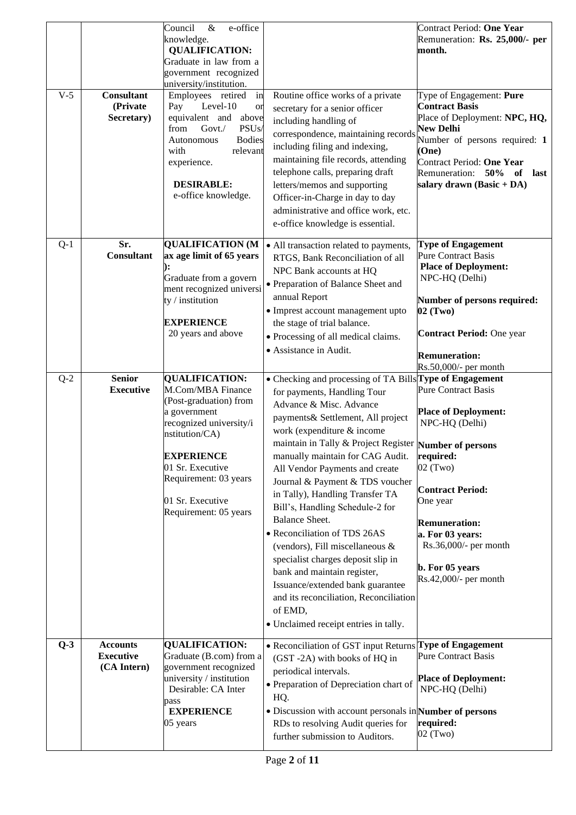| $V-5$ | <b>Consultant</b><br>(Private<br>Secretary)        | e-office<br>Council<br>$\&$<br>knowledge.<br><b>QUALIFICATION:</b><br>Graduate in law from a<br>government recognized<br>university/institution.<br>Employees retired<br>in<br>Level-10<br>Pay<br><sub>or</sub><br>equivalent and above<br>PSU <sub>s</sub><br>from<br>$Govt$ ./<br><b>Bodies</b><br>Autonomous<br>with<br>relevant<br>experience.<br><b>DESIRABLE:</b><br>e-office knowledge. | Routine office works of a private<br>secretary for a senior officer<br>including handling of<br>correspondence, maintaining records<br>including filing and indexing,<br>maintaining file records, attending<br>telephone calls, preparing draft<br>letters/memos and supporting<br>Officer-in-Charge in day to day<br>administrative and office work, etc.<br>e-office knowledge is essential.                                                                                                                                                                                                                                                                                                                                    | Contract Period: One Year<br>Remuneration: Rs. 25,000/- per<br>month.<br>Type of Engagement: Pure<br><b>Contract Basis</b><br>Place of Deployment: NPC, HQ,<br><b>New Delhi</b><br>Number of persons required: 1<br>(One)<br>Contract Period: One Year<br>Remuneration: 50%<br>of<br>last<br>salary drawn (Basic + DA) |
|-------|----------------------------------------------------|------------------------------------------------------------------------------------------------------------------------------------------------------------------------------------------------------------------------------------------------------------------------------------------------------------------------------------------------------------------------------------------------|------------------------------------------------------------------------------------------------------------------------------------------------------------------------------------------------------------------------------------------------------------------------------------------------------------------------------------------------------------------------------------------------------------------------------------------------------------------------------------------------------------------------------------------------------------------------------------------------------------------------------------------------------------------------------------------------------------------------------------|------------------------------------------------------------------------------------------------------------------------------------------------------------------------------------------------------------------------------------------------------------------------------------------------------------------------|
| $Q-1$ | Sr.<br><b>Consultant</b>                           | <b>QUALIFICATION (M</b><br>ax age limit of 65 years<br>Graduate from a govern<br>ment recognized universi<br>ty / institution<br><b>EXPERIENCE</b><br>20 years and above                                                                                                                                                                                                                       | • All transaction related to payments,<br>RTGS, Bank Reconciliation of all<br>NPC Bank accounts at HQ<br>• Preparation of Balance Sheet and<br>annual Report<br>· Imprest account management upto<br>the stage of trial balance.<br>• Processing of all medical claims.<br>• Assistance in Audit.                                                                                                                                                                                                                                                                                                                                                                                                                                  | <b>Type of Engagement</b><br><b>Pure Contract Basis</b><br><b>Place of Deployment:</b><br>NPC-HQ (Delhi)<br>Number of persons required:<br>02 (Two)<br><b>Contract Period: One year</b><br><b>Remuneration:</b><br>Rs.50,000/- per month                                                                               |
| $Q-2$ | <b>Senior</b><br><b>Executive</b>                  | <b>QUALIFICATION:</b><br>M.Com/MBA Finance<br>(Post-graduation) from<br>a government<br>recognized university/i<br>nstitution/CA)<br><b>EXPERIENCE</b><br>01 Sr. Executive<br>Requirement: 03 years<br>01 Sr. Executive<br>Requirement: 05 years                                                                                                                                               | • Checking and processing of TA Bills Type of Engagement<br>for payments, Handling Tour<br>Advance & Misc. Advance<br>payments & Settlement, All project<br>work (expenditure & income<br>maintain in Tally & Project Register Number of persons<br>manually maintain for CAG Audit.<br>All Vendor Payments and create<br>Journal & Payment & TDS voucher<br>in Tally), Handling Transfer TA<br>Bill's, Handling Schedule-2 for<br><b>Balance Sheet.</b><br>• Reconciliation of TDS 26AS<br>(vendors), Fill miscellaneous &<br>specialist charges deposit slip in<br>bank and maintain register,<br>Issuance/extended bank guarantee<br>and its reconciliation, Reconciliation<br>of EMD,<br>• Unclaimed receipt entries in tally. | <b>Pure Contract Basis</b><br><b>Place of Deployment:</b><br>NPC-HQ (Delhi)<br>required:<br>$02$ (Two)<br><b>Contract Period:</b><br>One year<br><b>Remuneration:</b><br>a. For 03 years:<br>Rs.36,000/- per month<br>b. For 05 years<br>Rs.42,000/- per month                                                         |
| $Q-3$ | <b>Accounts</b><br><b>Executive</b><br>(CA Intern) | <b>QUALIFICATION:</b><br>Graduate (B.com) from a<br>government recognized<br>university / institution<br>Desirable: CA Inter<br>pass<br><b>EXPERIENCE</b><br>05 years                                                                                                                                                                                                                          | • Reconciliation of GST input Returns Type of Engagement<br>(GST-2A) with books of HQ in<br>periodical intervals.<br>• Preparation of Depreciation chart of<br>HQ.<br>• Discussion with account personals in Number of persons<br>RDs to resolving Audit queries for<br>further submission to Auditors.                                                                                                                                                                                                                                                                                                                                                                                                                            | <b>Pure Contract Basis</b><br><b>Place of Deployment:</b><br>NPC-HQ (Delhi)<br>required:<br>02 (Two)                                                                                                                                                                                                                   |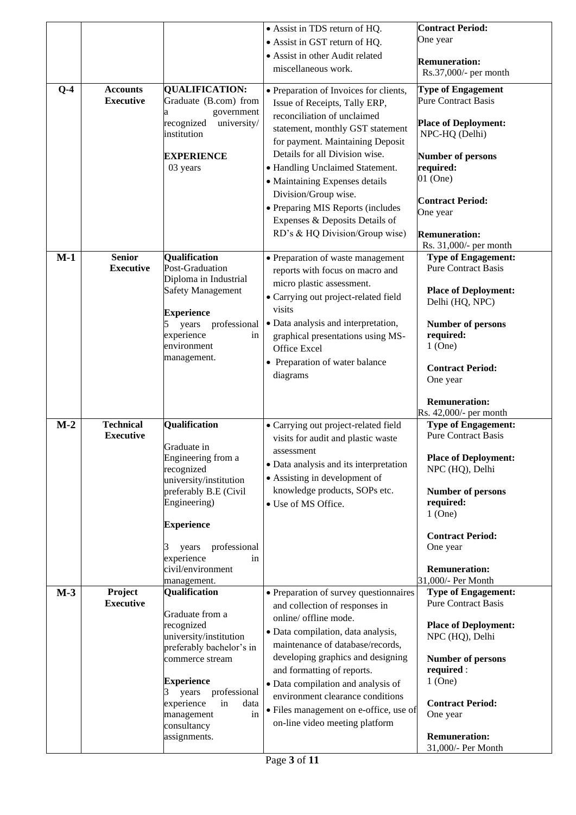|       |                                   |                                             | • Assist in TDS return of HQ.                                            | <b>Contract Period:</b>                                  |
|-------|-----------------------------------|---------------------------------------------|--------------------------------------------------------------------------|----------------------------------------------------------|
|       |                                   |                                             | • Assist in GST return of HQ.                                            | One year                                                 |
|       |                                   |                                             | • Assist in other Audit related                                          |                                                          |
|       |                                   |                                             | miscellaneous work.                                                      | <b>Remuneration:</b><br>Rs.37,000/- per month            |
|       |                                   |                                             |                                                                          |                                                          |
| $Q-4$ | <b>Accounts</b>                   | <b>QUALIFICATION:</b>                       | · Preparation of Invoices for clients,                                   | <b>Type of Engagement</b>                                |
|       | <b>Executive</b>                  | Graduate (B.com) from                       | Issue of Receipts, Tally ERP,                                            | <b>Pure Contract Basis</b>                               |
|       |                                   | government<br>recognized<br>university/     | reconciliation of unclaimed                                              | <b>Place of Deployment:</b>                              |
|       |                                   | institution                                 | statement, monthly GST statement                                         | NPC-HQ (Delhi)                                           |
|       |                                   |                                             | for payment. Maintaining Deposit                                         |                                                          |
|       |                                   | <b>EXPERIENCE</b>                           | Details for all Division wise.                                           | <b>Number of persons</b>                                 |
|       |                                   | 03 years                                    | • Handling Unclaimed Statement.                                          | required:                                                |
|       |                                   |                                             | • Maintaining Expenses details                                           | 01 (One)                                                 |
|       |                                   |                                             | Division/Group wise.                                                     | <b>Contract Period:</b>                                  |
|       |                                   |                                             | • Preparing MIS Reports (includes                                        | One year                                                 |
|       |                                   |                                             | Expenses & Deposits Details of                                           |                                                          |
|       |                                   |                                             | RD's & HQ Division/Group wise)                                           | <b>Remuneration:</b>                                     |
|       |                                   |                                             |                                                                          | Rs. 31,000/- per month                                   |
| $M-1$ | <b>Senior</b><br><b>Executive</b> | <b>Qualification</b><br>Post-Graduation     | • Preparation of waste management                                        | <b>Type of Engagement:</b><br><b>Pure Contract Basis</b> |
|       |                                   | Diploma in Industrial                       | reports with focus on macro and                                          |                                                          |
|       |                                   | <b>Safety Management</b>                    | micro plastic assessment.                                                | <b>Place of Deployment:</b>                              |
|       |                                   |                                             | • Carrying out project-related field<br>visits                           | Delhi (HQ, NPC)                                          |
|       |                                   | <b>Experience</b>                           |                                                                          |                                                          |
|       |                                   | professional<br>years<br>experience<br>in   | · Data analysis and interpretation,                                      | <b>Number of persons</b><br>required:                    |
|       |                                   | environment                                 | graphical presentations using MS-<br>Office Excel                        | $1$ (One)                                                |
|       |                                   | management.                                 |                                                                          |                                                          |
|       |                                   |                                             | • Preparation of water balance<br>diagrams                               | <b>Contract Period:</b>                                  |
|       |                                   |                                             |                                                                          | One year                                                 |
|       |                                   |                                             |                                                                          | <b>Remuneration:</b>                                     |
|       |                                   |                                             |                                                                          | Rs. 42,000/- per month                                   |
| $M-2$ | <b>Technical</b>                  | <b>Qualification</b>                        | · Carrying out project-related field                                     | <b>Type of Engagement:</b>                               |
|       | <b>Executive</b>                  |                                             | visits for audit and plastic waste                                       | <b>Pure Contract Basis</b>                               |
|       |                                   | Graduate in                                 | assessment                                                               |                                                          |
|       |                                   | Engineering from a<br>recognized            | • Data analysis and its interpretation                                   | <b>Place of Deployment:</b><br>NPC (HQ), Delhi           |
|       |                                   | university/institution                      | • Assisting in development of                                            |                                                          |
|       |                                   | preferably B.E (Civil                       | knowledge products, SOPs etc.                                            | <b>Number of persons</b>                                 |
|       |                                   | Engineering)                                | • Use of MS Office.                                                      | required:                                                |
|       |                                   |                                             |                                                                          | $1$ (One)                                                |
|       |                                   | <b>Experience</b>                           |                                                                          | <b>Contract Period:</b>                                  |
|       |                                   | professional<br>years                       |                                                                          | One year                                                 |
|       |                                   | experience<br>in                            |                                                                          |                                                          |
|       |                                   | civil/environment                           |                                                                          | <b>Remuneration:</b>                                     |
| $M-3$ | Project                           | management.<br>Qualification                |                                                                          | 31,000/- Per Month<br><b>Type of Engagement:</b>         |
|       | <b>Executive</b>                  |                                             | • Preparation of survey questionnaires<br>and collection of responses in | <b>Pure Contract Basis</b>                               |
|       |                                   | Graduate from a                             | online/ offline mode.                                                    |                                                          |
|       |                                   | recognized                                  | · Data compilation, data analysis,                                       | <b>Place of Deployment:</b>                              |
|       |                                   | university/institution                      | maintenance of database/records,                                         | NPC (HQ), Delhi                                          |
|       |                                   | preferably bachelor's in<br>commerce stream | developing graphics and designing                                        | <b>Number of persons</b>                                 |
|       |                                   |                                             | and formatting of reports.                                               | required :                                               |
|       |                                   | <b>Experience</b>                           | · Data compilation and analysis of                                       | $1$ (One)                                                |
|       |                                   | professional<br>3<br>years                  | environment clearance conditions                                         |                                                          |
|       |                                   | experience<br>in<br>data                    | · Files management on e-office, use of                                   | <b>Contract Period:</b>                                  |
|       |                                   | management<br>in<br>consultancy             | on-line video meeting platform                                           | One year                                                 |
|       |                                   | assignments.                                |                                                                          | <b>Remuneration:</b>                                     |
|       |                                   |                                             |                                                                          | 31,000/- Per Month                                       |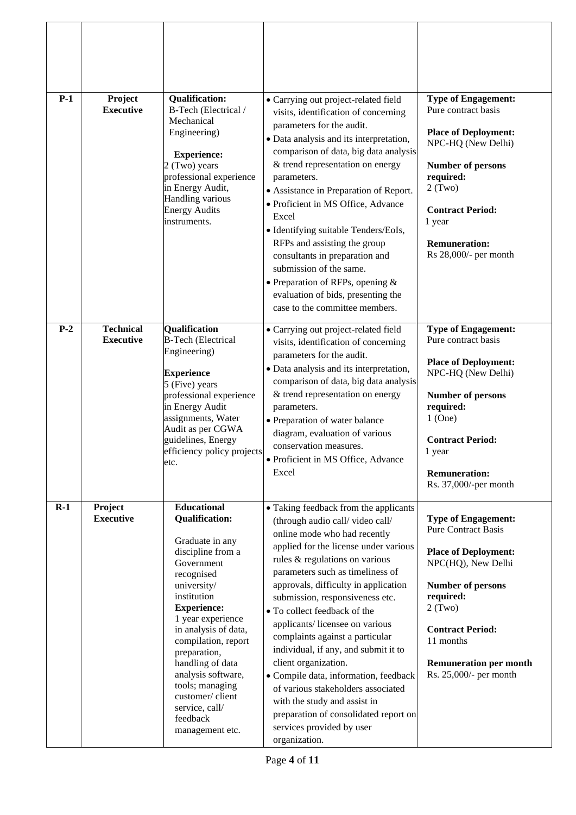| $P-1$ | Project<br><b>Executive</b>          | <b>Qualification:</b><br>B-Tech (Electrical /<br>Mechanical<br>Engineering)<br><b>Experience:</b><br>2 (Two) years<br>professional experience<br>in Energy Audit,<br>Handling various<br><b>Energy Audits</b><br>instruments.                                                                                                                                                            | · Carrying out project-related field<br>visits, identification of concerning<br>parameters for the audit.<br>· Data analysis and its interpretation,<br>comparison of data, big data analysis<br>& trend representation on energy<br>parameters.<br>• Assistance in Preparation of Report.<br>· Proficient in MS Office, Advance<br>Excel<br>• Identifying suitable Tenders/EoIs,<br>RFPs and assisting the group<br>consultants in preparation and<br>submission of the same.<br>• Preparation of RFPs, opening $&$<br>evaluation of bids, presenting the<br>case to the committee members.                                                                                  | <b>Type of Engagement:</b><br>Pure contract basis<br><b>Place of Deployment:</b><br>NPC-HQ (New Delhi)<br><b>Number of persons</b><br>required:<br>2(Two)<br><b>Contract Period:</b><br>1 year<br><b>Remuneration:</b><br>Rs 28,000/- per month                     |
|-------|--------------------------------------|------------------------------------------------------------------------------------------------------------------------------------------------------------------------------------------------------------------------------------------------------------------------------------------------------------------------------------------------------------------------------------------|-------------------------------------------------------------------------------------------------------------------------------------------------------------------------------------------------------------------------------------------------------------------------------------------------------------------------------------------------------------------------------------------------------------------------------------------------------------------------------------------------------------------------------------------------------------------------------------------------------------------------------------------------------------------------------|---------------------------------------------------------------------------------------------------------------------------------------------------------------------------------------------------------------------------------------------------------------------|
| $P-2$ | <b>Technical</b><br><b>Executive</b> | Qualification<br><b>B-Tech (Electrical</b><br>Engineering)<br><b>Experience</b><br>5 (Five) years<br>professional experience<br>in Energy Audit<br>assignments, Water<br>Audit as per CGWA<br>guidelines, Energy<br>efficiency policy projects<br>etc.                                                                                                                                   | • Carrying out project-related field<br>visits, identification of concerning<br>parameters for the audit.<br>• Data analysis and its interpretation,<br>comparison of data, big data analysis<br>& trend representation on energy<br>parameters.<br>• Preparation of water balance<br>diagram, evaluation of various<br>conservation measures.<br>· Proficient in MS Office, Advance<br>Excel                                                                                                                                                                                                                                                                                 | <b>Type of Engagement:</b><br>Pure contract basis<br><b>Place of Deployment:</b><br>NPC-HQ (New Delhi)<br><b>Number of persons</b><br>required:<br>$1$ (One)<br><b>Contract Period:</b><br>1 year<br><b>Remuneration:</b><br>Rs. 37,000/-per month                  |
| $R-1$ | Project<br><b>Executive</b>          | <b>Educational</b><br><b>Qualification:</b><br>Graduate in any<br>discipline from a<br>Government<br>recognised<br>university/<br>institution<br><b>Experience:</b><br>1 year experience<br>in analysis of data,<br>compilation, report<br>preparation,<br>handling of data<br>analysis software,<br>tools; managing<br>customer/client<br>service, call/<br>feedback<br>management etc. | • Taking feedback from the applicants<br>(through audio call/video call/<br>online mode who had recently<br>applied for the license under various<br>rules & regulations on various<br>parameters such as timeliness of<br>approvals, difficulty in application<br>submission, responsiveness etc.<br>• To collect feedback of the<br>applicants/licensee on various<br>complaints against a particular<br>individual, if any, and submit it to<br>client organization.<br>· Compile data, information, feedback<br>of various stakeholders associated<br>with the study and assist in<br>preparation of consolidated report on<br>services provided by user<br>organization. | <b>Type of Engagement:</b><br><b>Pure Contract Basis</b><br><b>Place of Deployment:</b><br>NPC(HQ), New Delhi<br><b>Number of persons</b><br>required:<br>2(Two)<br><b>Contract Period:</b><br>11 months<br><b>Remuneration per month</b><br>Rs. 25,000/- per month |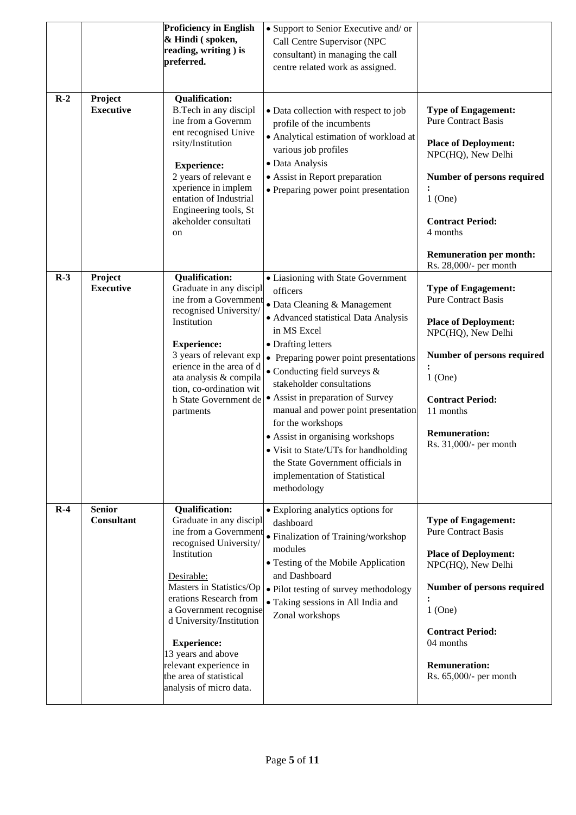|       |                                    | <b>Proficiency in English</b><br>& Hindi (spoken,<br>reading, writing) is<br>preferred.                                                                                                                                                                                                                                                                                  | • Support to Senior Executive and/ or<br>Call Centre Supervisor (NPC<br>consultant) in managing the call<br>centre related work as assigned.                                                                                                                                                                                                                                                                                                                                                                                                   |                                                                                                                                                                                                                                                             |
|-------|------------------------------------|--------------------------------------------------------------------------------------------------------------------------------------------------------------------------------------------------------------------------------------------------------------------------------------------------------------------------------------------------------------------------|------------------------------------------------------------------------------------------------------------------------------------------------------------------------------------------------------------------------------------------------------------------------------------------------------------------------------------------------------------------------------------------------------------------------------------------------------------------------------------------------------------------------------------------------|-------------------------------------------------------------------------------------------------------------------------------------------------------------------------------------------------------------------------------------------------------------|
| $R-2$ | Project<br><b>Executive</b>        | <b>Qualification:</b><br>B.Tech in any discipl<br>ine from a Governm<br>ent recognised Unive<br>rsity/Institution<br><b>Experience:</b><br>2 years of relevant e<br>xperience in implem<br>entation of Industrial<br>Engineering tools, St<br>akeholder consultati<br>on                                                                                                 | • Data collection with respect to job<br>profile of the incumbents<br>• Analytical estimation of workload at<br>various job profiles<br>· Data Analysis<br>• Assist in Report preparation<br>• Preparing power point presentation                                                                                                                                                                                                                                                                                                              | <b>Type of Engagement:</b><br><b>Pure Contract Basis</b><br><b>Place of Deployment:</b><br>NPC(HQ), New Delhi<br>Number of persons required<br>$1$ (One)<br><b>Contract Period:</b><br>4 months<br><b>Remuneration per month:</b><br>Rs. 28,000/- per month |
| $R-3$ | Project<br><b>Executive</b>        | <b>Qualification:</b><br>Graduate in any discipl<br>ine from a Government<br>recognised University/<br>Institution<br><b>Experience:</b><br>3 years of relevant exp<br>erience in the area of d<br>ata analysis & compila<br>tion, co-ordination wit<br>h State Government de<br>partments                                                                               | • Liasioning with State Government<br>officers<br>• Data Cleaning & Management<br>· Advanced statistical Data Analysis<br>in MS Excel<br>• Drafting letters<br>• Preparing power point presentations<br>$\bullet$ Conducting field surveys $\&$<br>stakeholder consultations<br>• Assist in preparation of Survey<br>manual and power point presentation<br>for the workshops<br>• Assist in organising workshops<br>• Visit to State/UTs for handholding<br>the State Government officials in<br>implementation of Statistical<br>methodology | <b>Type of Engagement:</b><br><b>Pure Contract Basis</b><br><b>Place of Deployment:</b><br>NPC(HQ), New Delhi<br>Number of persons required<br>$1$ (One)<br><b>Contract Period:</b><br>11 months<br><b>Remuneration:</b><br>Rs. 31,000/- per month          |
| $R-4$ | <b>Senior</b><br><b>Consultant</b> | <b>Qualification:</b><br>Graduate in any discipl<br>ine from a Government<br>recognised University/<br>Institution<br>Desirable:<br>Masters in Statistics/Op<br>erations Research from<br>a Government recognise<br>d University/Institution<br><b>Experience:</b><br>13 years and above<br>relevant experience in<br>the area of statistical<br>analysis of micro data. | • Exploring analytics options for<br>dashboard<br>· Finalization of Training/workshop<br>modules<br>• Testing of the Mobile Application<br>and Dashboard<br>· Pilot testing of survey methodology<br>• Taking sessions in All India and<br>Zonal workshops                                                                                                                                                                                                                                                                                     | <b>Type of Engagement:</b><br><b>Pure Contract Basis</b><br><b>Place of Deployment:</b><br>NPC(HQ), New Delhi<br>Number of persons required<br>$1$ (One)<br><b>Contract Period:</b><br>04 months<br><b>Remuneration:</b><br>Rs. 65,000/- per month          |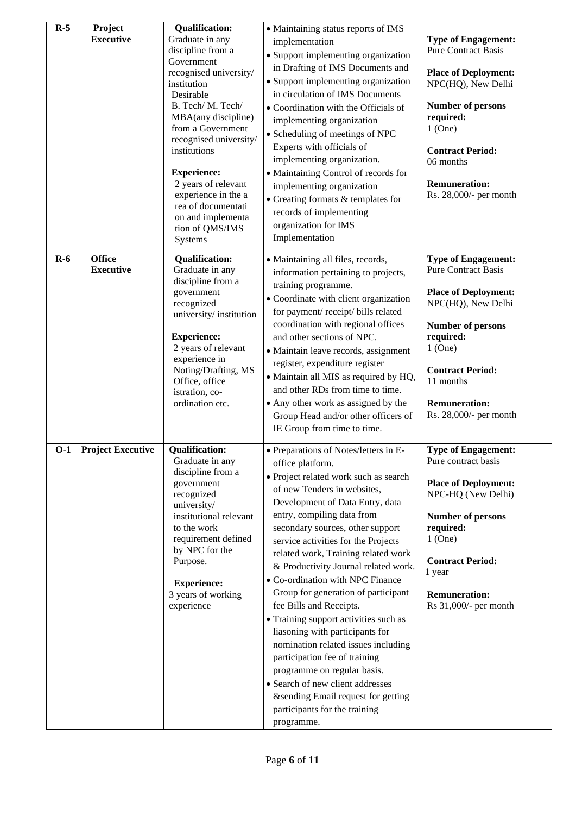| $R-5$ | Project<br><b>Executive</b>       | <b>Qualification:</b><br>Graduate in any<br>discipline from a<br>Government<br>recognised university/<br>institution<br>Desirable<br>B. Tech/M. Tech/<br>MBA(any discipline)<br>from a Government<br>recognised university/<br>institutions<br><b>Experience:</b><br>2 years of relevant<br>experience in the a<br>rea of documentati<br>on and implementa<br>tion of QMS/IMS<br>Systems | • Maintaining status reports of IMS<br>implementation<br>• Support implementing organization<br>in Drafting of IMS Documents and<br>• Support implementing organization<br>in circulation of IMS Documents<br>• Coordination with the Officials of<br>implementing organization<br>• Scheduling of meetings of NPC<br>Experts with officials of<br>implementing organization.<br>• Maintaining Control of records for<br>implementing organization<br>$\bullet$ Creating formats & templates for<br>records of implementing<br>organization for IMS<br>Implementation                                                                                                                                                                                                          | <b>Type of Engagement:</b><br><b>Pure Contract Basis</b><br><b>Place of Deployment:</b><br>NPC(HQ), New Delhi<br><b>Number of persons</b><br>required:<br>$1$ (One)<br><b>Contract Period:</b><br>06 months<br><b>Remuneration:</b><br>Rs. 28,000/- per month |
|-------|-----------------------------------|------------------------------------------------------------------------------------------------------------------------------------------------------------------------------------------------------------------------------------------------------------------------------------------------------------------------------------------------------------------------------------------|--------------------------------------------------------------------------------------------------------------------------------------------------------------------------------------------------------------------------------------------------------------------------------------------------------------------------------------------------------------------------------------------------------------------------------------------------------------------------------------------------------------------------------------------------------------------------------------------------------------------------------------------------------------------------------------------------------------------------------------------------------------------------------|---------------------------------------------------------------------------------------------------------------------------------------------------------------------------------------------------------------------------------------------------------------|
| $R-6$ | <b>Office</b><br><b>Executive</b> | <b>Qualification:</b><br>Graduate in any<br>discipline from a<br>government<br>recognized<br>university/institution<br><b>Experience:</b><br>2 years of relevant<br>experience in<br>Noting/Drafting, MS<br>Office, office<br>istration, co-<br>ordination etc.                                                                                                                          | · Maintaining all files, records,<br>information pertaining to projects,<br>training programme.<br>· Coordinate with client organization<br>for payment/receipt/bills related<br>coordination with regional offices<br>and other sections of NPC.<br>· Maintain leave records, assignment<br>register, expenditure register<br>· Maintain all MIS as required by HQ,<br>and other RDs from time to time.<br>• Any other work as assigned by the<br>Group Head and/or other officers of<br>IE Group from time to time.                                                                                                                                                                                                                                                          | <b>Type of Engagement:</b><br><b>Pure Contract Basis</b><br><b>Place of Deployment:</b><br>NPC(HQ), New Delhi<br><b>Number of persons</b><br>required:<br>$1$ (One)<br><b>Contract Period:</b><br>11 months<br><b>Remuneration:</b><br>Rs. 28,000/- per month |
| 0-1   | <b>Project Executive</b>          | <b>Oualification:</b><br>Graduate in any<br>discipline from a<br>government<br>recognized<br>university/<br>institutional relevant<br>to the work<br>requirement defined<br>by NPC for the<br>Purpose.<br><b>Experience:</b><br>3 years of working<br>experience                                                                                                                         | • Preparations of Notes/letters in E-<br>office platform.<br>· Project related work such as search<br>of new Tenders in websites,<br>Development of Data Entry, data<br>entry, compiling data from<br>secondary sources, other support<br>service activities for the Projects<br>related work, Training related work<br>& Productivity Journal related work.<br>• Co-ordination with NPC Finance<br>Group for generation of participant<br>fee Bills and Receipts.<br>• Training support activities such as<br>liasoning with participants for<br>nomination related issues including<br>participation fee of training<br>programme on regular basis.<br>• Search of new client addresses<br>&sending Email request for getting<br>participants for the training<br>programme. | <b>Type of Engagement:</b><br>Pure contract basis<br><b>Place of Deployment:</b><br>NPC-HQ (New Delhi)<br>Number of persons<br>required:<br>$1$ (One)<br><b>Contract Period:</b><br>1 year<br><b>Remuneration:</b><br>Rs $31,000/$ - per month                |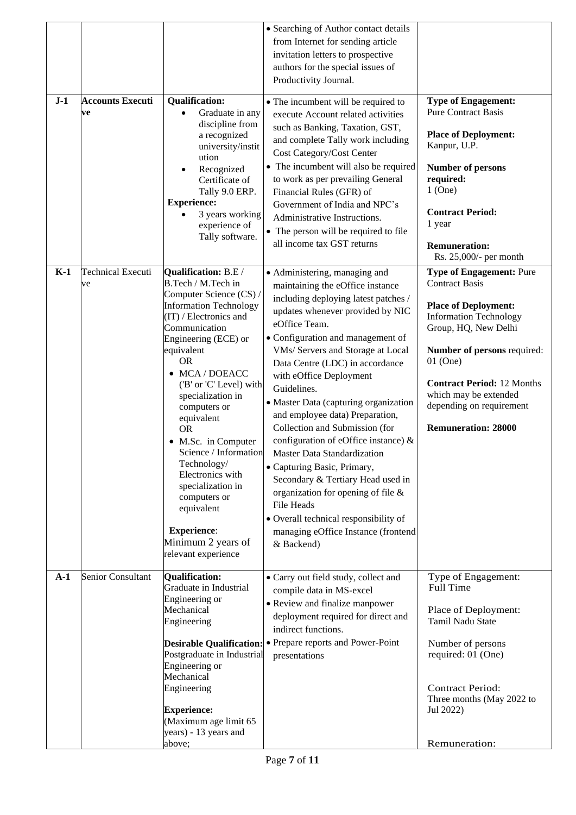|       |                                |                                                         | • Searching of Author contact details<br>from Internet for sending article  |                                                              |
|-------|--------------------------------|---------------------------------------------------------|-----------------------------------------------------------------------------|--------------------------------------------------------------|
|       |                                |                                                         | invitation letters to prospective                                           |                                                              |
|       |                                |                                                         | authors for the special issues of<br>Productivity Journal.                  |                                                              |
|       |                                |                                                         |                                                                             |                                                              |
| $J-1$ | <b>Accounts Executi</b><br>ve  | <b>Qualification:</b><br>Graduate in any<br>$\bullet$   | • The incumbent will be required to<br>execute Account related activities   | <b>Type of Engagement:</b><br><b>Pure Contract Basis</b>     |
|       |                                | discipline from                                         | such as Banking, Taxation, GST,                                             |                                                              |
|       |                                | a recognized<br>university/instit                       | and complete Tally work including                                           | <b>Place of Deployment:</b><br>Kanpur, U.P.                  |
|       |                                | ution                                                   | Cost Category/Cost Center<br>• The incumbent will also be required          | <b>Number of persons</b>                                     |
|       |                                | Recognized<br>٠<br>Certificate of                       | to work as per prevailing General                                           | required:                                                    |
|       |                                | Tally 9.0 ERP.<br><b>Experience:</b>                    | Financial Rules (GFR) of                                                    | $1$ (One)                                                    |
|       |                                | 3 years working                                         | Government of India and NPC's<br>Administrative Instructions.               | <b>Contract Period:</b>                                      |
|       |                                | experience of<br>Tally software.                        | • The person will be required to file                                       | 1 year                                                       |
|       |                                |                                                         | all income tax GST returns                                                  | <b>Remuneration:</b><br>Rs. 25,000/- per month               |
| $K-1$ | <b>Technical Executi</b><br>ve | Qualification: B.E/<br>B.Tech / M.Tech in               | • Administering, managing and                                               | <b>Type of Engagement: Pure</b><br><b>Contract Basis</b>     |
|       |                                | Computer Science (CS) /                                 | maintaining the eOffice instance<br>including deploying latest patches /    |                                                              |
|       |                                | <b>Information Technology</b><br>(IT) / Electronics and | updates whenever provided by NIC                                            | <b>Place of Deployment:</b><br><b>Information Technology</b> |
|       |                                | Communication                                           | eOffice Team.                                                               | Group, HQ, New Delhi                                         |
|       |                                | Engineering (ECE) or<br>equivalent                      | • Configuration and management of<br>VMs/ Servers and Storage at Local      | <b>Number of persons required:</b>                           |
|       |                                | <b>OR</b>                                               | Data Centre (LDC) in accordance                                             | $01$ (One)                                                   |
|       |                                | • MCA / DOEACC<br>('B' or 'C' Level) with               | with eOffice Deployment<br>Guidelines.                                      | <b>Contract Period: 12 Months</b>                            |
|       |                                | specialization in<br>computers or                       | • Master Data (capturing organization                                       | which may be extended<br>depending on requirement            |
|       |                                | equivalent                                              | and employee data) Preparation,                                             |                                                              |
|       |                                | <b>OR</b><br>• M.Sc. in Computer                        | Collection and Submission (for<br>configuration of eOffice instance) &      | <b>Remuneration: 28000</b>                                   |
|       |                                | Science / Information                                   | Master Data Standardization                                                 |                                                              |
|       |                                | Technology/<br>Electronics with                         | • Capturing Basic, Primary,                                                 |                                                              |
|       |                                | specialization in                                       | Secondary & Tertiary Head used in<br>organization for opening of file $\&$  |                                                              |
|       |                                | computers or<br>equivalent                              | File Heads                                                                  |                                                              |
|       |                                | <b>Experience:</b>                                      | • Overall technical responsibility of                                       |                                                              |
|       |                                | Minimum 2 years of                                      | managing eOffice Instance (frontend<br>& Backend)                           |                                                              |
|       |                                | relevant experience                                     |                                                                             |                                                              |
| $A-1$ | Senior Consultant              | Qualification:                                          | • Carry out field study, collect and                                        | Type of Engagement:                                          |
|       |                                | Graduate in Industrial<br>Engineering or                | compile data in MS-excel                                                    | <b>Full Time</b>                                             |
|       |                                | Mechanical                                              | • Review and finalize manpower<br>deployment required for direct and        | Place of Deployment:                                         |
|       |                                | Engineering                                             | indirect functions.                                                         | Tamil Nadu State                                             |
|       |                                | Postgraduate in Industrial                              | Desirable Qualification: • Prepare reports and Power-Point<br>presentations | Number of persons<br>required: 01 (One)                      |
|       |                                | Engineering or                                          |                                                                             |                                                              |
|       |                                | Mechanical<br>Engineering                               |                                                                             | <b>Contract Period:</b>                                      |
|       |                                |                                                         |                                                                             | Three months (May 2022 to                                    |
|       |                                | <b>Experience:</b><br>(Maximum age limit 65             |                                                                             | Jul 2022)                                                    |
|       |                                | years) - 13 years and                                   |                                                                             |                                                              |
|       |                                | above;                                                  |                                                                             | Remuneration:                                                |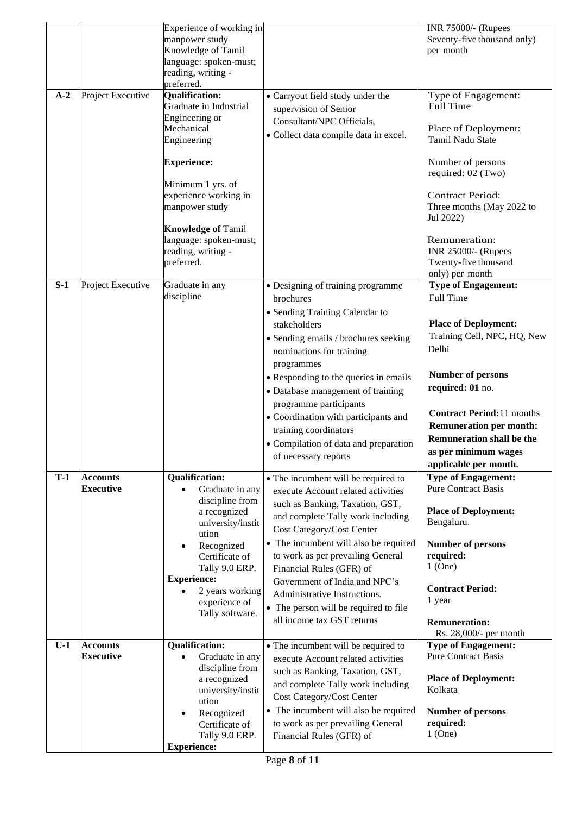| $A-2$ | Project Executive                   | Experience of working in<br>manpower study<br>Knowledge of Tamil<br>language: spoken-must;<br>reading, writing -<br>preferred.<br><b>Qualification:</b><br>Graduate in Industrial<br>Engineering or<br>Mechanical<br>Engineering<br><b>Experience:</b><br>Minimum 1 yrs. of<br>experience working in<br>manpower study<br><b>Knowledge of Tamil</b><br>language: spoken-must;<br>reading, writing -<br>preferred. | • Carryout field study under the<br>supervision of Senior<br>Consultant/NPC Officials,<br>· Collect data compile data in excel.                                                                                                                                                                                                                                                                                                  | INR 75000/- (Rupees<br>Seventy-five thousand only)<br>per month<br>Type of Engagement:<br>Full Time<br>Place of Deployment:<br>Tamil Nadu State<br>Number of persons<br>required: 02 (Two)<br><b>Contract Period:</b><br>Three months (May 2022 to<br>Jul 2022)<br>Remuneration:<br>INR 25000/- (Rupees<br>Twenty-five thousand               |
|-------|-------------------------------------|-------------------------------------------------------------------------------------------------------------------------------------------------------------------------------------------------------------------------------------------------------------------------------------------------------------------------------------------------------------------------------------------------------------------|----------------------------------------------------------------------------------------------------------------------------------------------------------------------------------------------------------------------------------------------------------------------------------------------------------------------------------------------------------------------------------------------------------------------------------|-----------------------------------------------------------------------------------------------------------------------------------------------------------------------------------------------------------------------------------------------------------------------------------------------------------------------------------------------|
| $S-1$ | Project Executive                   | Graduate in any<br>discipline                                                                                                                                                                                                                                                                                                                                                                                     | • Designing of training programme<br>brochures<br>• Sending Training Calendar to<br>stakeholders<br>• Sending emails / brochures seeking<br>nominations for training<br>programmes<br>• Responding to the queries in emails<br>• Database management of training<br>programme participants<br>• Coordination with participants and<br>training coordinators<br>• Compilation of data and preparation<br>of necessary reports     | only) per month<br><b>Type of Engagement:</b><br>Full Time<br><b>Place of Deployment:</b><br>Training Cell, NPC, HQ, New<br>Delhi<br><b>Number of persons</b><br>required: 01 no.<br><b>Contract Period:</b> 11 months<br><b>Remuneration per month:</b><br><b>Remuneration shall be the</b><br>as per minimum wages<br>applicable per month. |
| $T-1$ | <b>Accounts</b><br><b>Executive</b> | <b>Qualification:</b><br>Graduate in any<br>$\bullet$<br>discipline from<br>a recognized<br>university/instit<br>ution<br>Recognized<br>$\bullet$<br>Certificate of<br>Tally 9.0 ERP.<br><b>Experience:</b><br>2 years working<br>experience of<br>Tally software.                                                                                                                                                | • The incumbent will be required to<br>execute Account related activities<br>such as Banking, Taxation, GST,<br>and complete Tally work including<br>Cost Category/Cost Center<br>• The incumbent will also be required<br>to work as per prevailing General<br>Financial Rules (GFR) of<br>Government of India and NPC's<br>Administrative Instructions.<br>• The person will be required to file<br>all income tax GST returns | <b>Type of Engagement:</b><br><b>Pure Contract Basis</b><br><b>Place of Deployment:</b><br>Bengaluru.<br><b>Number of persons</b><br>required:<br>$1$ (One)<br><b>Contract Period:</b><br>1 year<br><b>Remuneration:</b><br>Rs. 28,000/- per month                                                                                            |
| $U-1$ | <b>Accounts</b><br><b>Executive</b> | <b>Qualification:</b><br>Graduate in any<br>$\bullet$<br>discipline from<br>a recognized<br>university/instit<br>ution<br>Recognized<br>Certificate of<br>Tally 9.0 ERP.<br><b>Experience:</b>                                                                                                                                                                                                                    | • The incumbent will be required to<br>execute Account related activities<br>such as Banking, Taxation, GST,<br>and complete Tally work including<br>Cost Category/Cost Center<br>• The incumbent will also be required<br>to work as per prevailing General<br>Financial Rules (GFR) of                                                                                                                                         | <b>Type of Engagement:</b><br><b>Pure Contract Basis</b><br><b>Place of Deployment:</b><br>Kolkata<br><b>Number of persons</b><br>required:<br>$1$ (One)                                                                                                                                                                                      |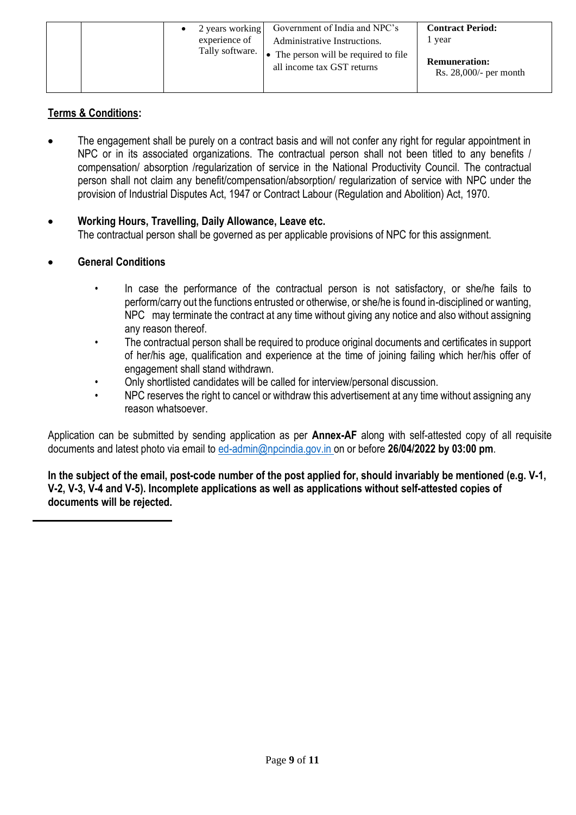|  | 2 years working<br>experience of<br>Tally software. | Government of India and NPC's<br>Administrative Instructions.<br>The person will be required to file<br>all income tax GST returns | <b>Contract Period:</b><br>1 year<br><b>Remuneration:</b><br>Rs. $28,000/$ - per month |
|--|-----------------------------------------------------|------------------------------------------------------------------------------------------------------------------------------------|----------------------------------------------------------------------------------------|
|  |                                                     |                                                                                                                                    |                                                                                        |

## **Terms & Conditions:**

- The engagement shall be purely on a contract basis and will not confer any right for regular appointment in NPC or in its associated organizations. The contractual person shall not been titled to any benefits / compensation/ absorption /regularization of service in the National Productivity Council. The contractual person shall not claim any benefit/compensation/absorption/ regularization of service with NPC under the provision of Industrial Disputes Act, 1947 or Contract Labour (Regulation and Abolition) Act, 1970.
- **Working Hours, Travelling, Daily Allowance, Leave etc.** The contractual person shall be governed as per applicable provisions of NPC for this assignment.
- **General Conditions**
	- In case the performance of the contractual person is not satisfactory, or she/he fails to perform/carry out the functions entrusted or otherwise, or she/he is found in-disciplined or wanting, NPC may terminate the contract at any time without giving any notice and also without assigning any reason thereof.
	- The contractual person shall be required to produce original documents and certificates in support of her/his age, qualification and experience at the time of joining failing which her/his offer of engagement shall stand withdrawn.
	- Only shortlisted candidates will be called for interview/personal discussion.
	- NPC reserves the right to cancel or withdraw this advertisement at any time without assigning any reason whatsoever.

Application can be submitted by sending application as per **Annex-AF** along with self-attested copy of all requisite documents and latest photo via email to [ed-admin@npcindia.gov.in](mailto:ed-admin@npcindia.gov.in) on or before **26/04/2022 by 03:00 pm**.

In the subject of the email, post-code number of the post applied for, should invariably be mentioned (e.g. V-1, **V-2, V-3, V-4 and V-5). Incomplete applications as well as applications without self-attested copies of documents will be rejected.**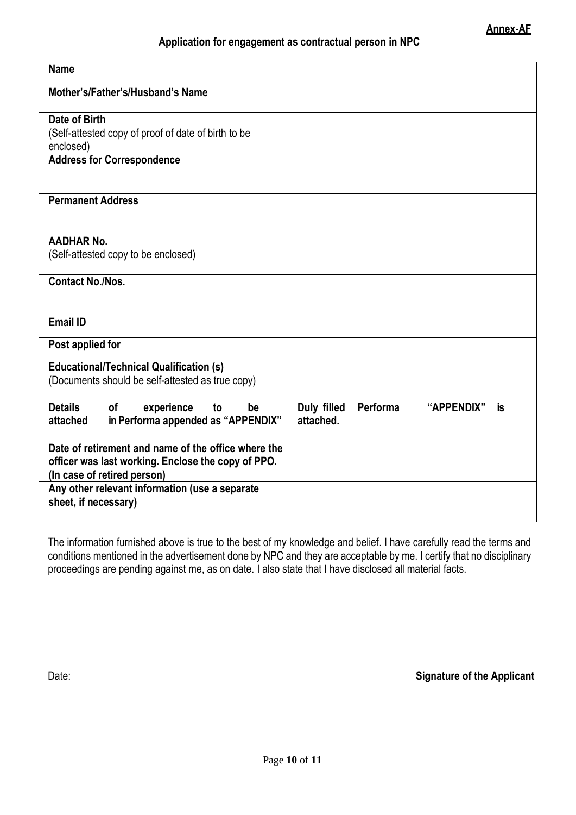### **Application for engagement as contractual person in NPC**

| <b>Name</b>                                                                                                                              |                                                          |
|------------------------------------------------------------------------------------------------------------------------------------------|----------------------------------------------------------|
| Mother's/Father's/Husband's Name                                                                                                         |                                                          |
| Date of Birth<br>(Self-attested copy of proof of date of birth to be<br>enclosed)                                                        |                                                          |
| <b>Address for Correspondence</b>                                                                                                        |                                                          |
| <b>Permanent Address</b>                                                                                                                 |                                                          |
| <b>AADHAR No.</b><br>(Self-attested copy to be enclosed)                                                                                 |                                                          |
| <b>Contact No./Nos.</b>                                                                                                                  |                                                          |
| <b>Email ID</b>                                                                                                                          |                                                          |
| Post applied for                                                                                                                         |                                                          |
| <b>Educational/Technical Qualification (s)</b><br>(Documents should be self-attested as true copy)                                       |                                                          |
| <b>Details</b><br><b>of</b><br>experience<br>to<br>be<br>in Performa appended as "APPENDIX"<br>attached                                  | Duly filled<br>Performa<br>"APPENDIX"<br>is<br>attached. |
| Date of retirement and name of the office where the<br>officer was last working. Enclose the copy of PPO.<br>(In case of retired person) |                                                          |
| Any other relevant information (use a separate<br>sheet, if necessary)                                                                   |                                                          |

The information furnished above is true to the best of my knowledge and belief. I have carefully read the terms and conditions mentioned in the advertisement done by NPC and they are acceptable by me. I certify that no disciplinary proceedings are pending against me, as on date. I also state that I have disclosed all material facts.

Date: **Signature of the Applicant**